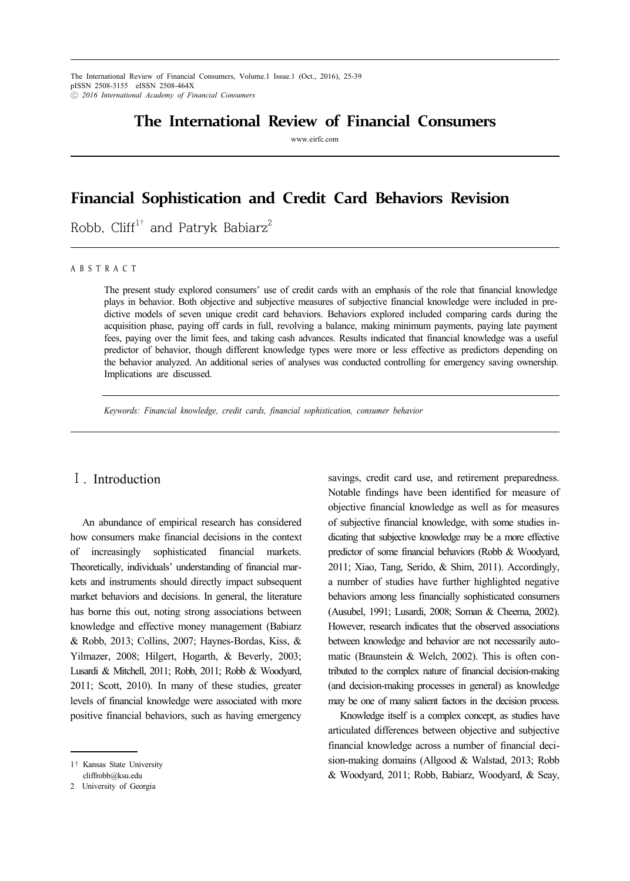The International Review of Financial Consumers, Volume.1 Issue.1 (Oct., 2016), 25-39 pISSN 2508-3155 eISSN 2508-464X ⓒ *2016 International Academy of Financial Consumers*

# **The International Review of Financial Consumers**

www.eirfc.com

# **Financial Sophistication and Credit Card Behaviors Revision**

Robb, Cliff<sup>1†</sup> and Patryk Babiarz<sup>2</sup>

A B S T R A C T

The present study explored consumers' use of credit cards with an emphasis of the role that financial knowledge plays in behavior. Both objective and subjective measures of subjective financial knowledge were included in predictive models of seven unique credit card behaviors. Behaviors explored included comparing cards during the acquisition phase, paying off cards in full, revolving a balance, making minimum payments, paying late payment fees, paying over the limit fees, and taking cash advances. Results indicated that financial knowledge was a useful predictor of behavior, though different knowledge types were more or less effective as predictors depending on the behavior analyzed. An additional series of analyses was conducted controlling for emergency saving ownership. Implications are discussed.

*Keywords: Financial knowledge, credit cards, financial sophistication, consumer behavior*

## Ⅰ. Introduction

An abundance of empirical research has considered how consumers make financial decisions in the context of increasingly sophisticated financial markets. Theoretically, individuals' understanding of financial markets and instruments should directly impact subsequent market behaviors and decisions. In general, the literature has borne this out, noting strong associations between knowledge and effective money management (Babiarz & Robb, 2013; Collins, 2007; Haynes-Bordas, Kiss, & Yilmazer, 2008; Hilgert, Hogarth, & Beverly, 2003; Lusardi & Mitchell, 2011; Robb, 2011; Robb & Woodyard, 2011; Scott, 2010). In many of these studies, greater levels of financial knowledge were associated with more positive financial behaviors, such as having emergency

savings, credit card use, and retirement preparedness. Notable findings have been identified for measure of objective financial knowledge as well as for measures of subjective financial knowledge, with some studies indicating that subjective knowledge may be a more effective predictor of some financial behaviors (Robb & Woodyard, 2011; Xiao, Tang, Serido, & Shim, 2011). Accordingly, a number of studies have further highlighted negative behaviors among less financially sophisticated consumers (Ausubel, 1991; Lusardi, 2008; Soman & Cheema, 2002). However, research indicates that the observed associations between knowledge and behavior are not necessarily automatic (Braunstein & Welch, 2002). This is often contributed to the complex nature of financial decision-making (and decision-making processes in general) as knowledge may be one of many salient factors in the decision process.

Knowledge itself is a complex concept, as studies have articulated differences between objective and subjective financial knowledge across a number of financial decision-making domains (Allgood & Walstad, 2013; Robb & Woodyard, 2011; Robb, Babiarz, Woodyard, & Seay,

<sup>1</sup>† Kansas State University cliffrobb@ksu.edu

<sup>2</sup> University of Georgia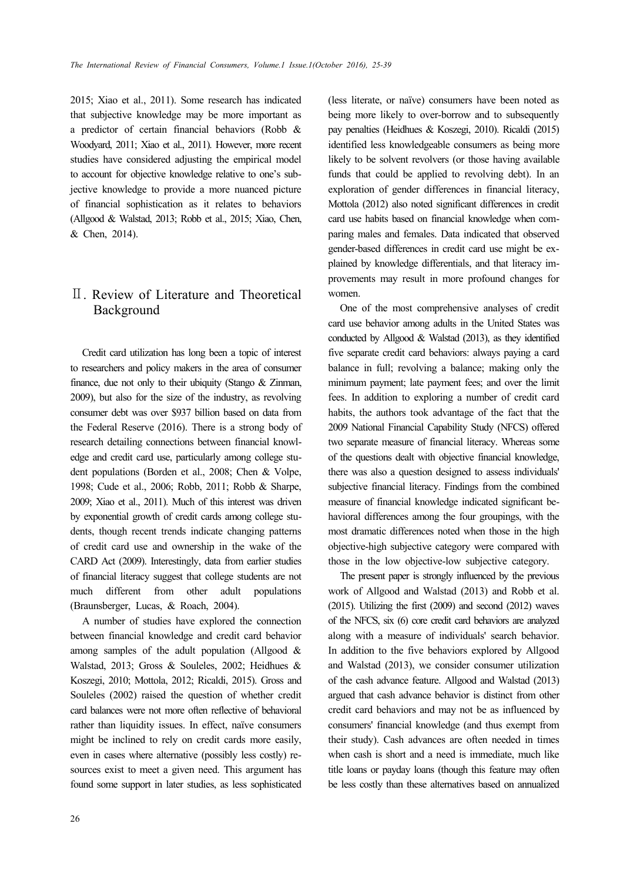2015; Xiao et al., 2011). Some research has indicated that subjective knowledge may be more important as a predictor of certain financial behaviors (Robb & Woodyard, 2011; Xiao et al., 2011). However, more recent studies have considered adjusting the empirical model to account for objective knowledge relative to one's subjective knowledge to provide a more nuanced picture of financial sophistication as it relates to behaviors (Allgood & Walstad, 2013; Robb et al., 2015; Xiao, Chen, & Chen, 2014).

## Ⅱ. Review of Literature and Theoretical Background

Credit card utilization has long been a topic of interest to researchers and policy makers in the area of consumer finance, due not only to their ubiquity (Stango & Zinman, 2009), but also for the size of the industry, as revolving consumer debt was over \$937 billion based on data from the Federal Reserve (2016). There is a strong body of research detailing connections between financial knowledge and credit card use, particularly among college student populations (Borden et al., 2008; Chen & Volpe, 1998; Cude et al., 2006; Robb, 2011; Robb & Sharpe, 2009; Xiao et al., 2011). Much of this interest was driven by exponential growth of credit cards among college students, though recent trends indicate changing patterns of credit card use and ownership in the wake of the CARD Act (2009). Interestingly, data from earlier studies of financial literacy suggest that college students are not much different from other adult populations (Braunsberger, Lucas, & Roach, 2004).

A number of studies have explored the connection between financial knowledge and credit card behavior among samples of the adult population (Allgood & Walstad, 2013; Gross & Souleles, 2002; Heidhues & Koszegi, 2010; Mottola, 2012; Ricaldi, 2015). Gross and Souleles (2002) raised the question of whether credit card balances were not more often reflective of behavioral rather than liquidity issues. In effect, naïve consumers might be inclined to rely on credit cards more easily, even in cases where alternative (possibly less costly) resources exist to meet a given need. This argument has found some support in later studies, as less sophisticated (less literate, or naïve) consumers have been noted as being more likely to over-borrow and to subsequently pay penalties (Heidhues & Koszegi, 2010). Ricaldi (2015) identified less knowledgeable consumers as being more likely to be solvent revolvers (or those having available funds that could be applied to revolving debt). In an exploration of gender differences in financial literacy, Mottola (2012) also noted significant differences in credit card use habits based on financial knowledge when comparing males and females. Data indicated that observed gender-based differences in credit card use might be explained by knowledge differentials, and that literacy improvements may result in more profound changes for women.

One of the most comprehensive analyses of credit card use behavior among adults in the United States was conducted by Allgood & Walstad (2013), as they identified five separate credit card behaviors: always paying a card balance in full; revolving a balance; making only the minimum payment; late payment fees; and over the limit fees. In addition to exploring a number of credit card habits, the authors took advantage of the fact that the 2009 National Financial Capability Study (NFCS) offered two separate measure of financial literacy. Whereas some of the questions dealt with objective financial knowledge, there was also a question designed to assess individuals' subjective financial literacy. Findings from the combined measure of financial knowledge indicated significant behavioral differences among the four groupings, with the most dramatic differences noted when those in the high objective-high subjective category were compared with those in the low objective-low subjective category.

The present paper is strongly influenced by the previous work of Allgood and Walstad (2013) and Robb et al. (2015). Utilizing the first (2009) and second (2012) waves of the NFCS, six (6) core credit card behaviors are analyzed along with a measure of individuals' search behavior. In addition to the five behaviors explored by Allgood and Walstad (2013), we consider consumer utilization of the cash advance feature. Allgood and Walstad (2013) argued that cash advance behavior is distinct from other credit card behaviors and may not be as influenced by consumers' financial knowledge (and thus exempt from their study). Cash advances are often needed in times when cash is short and a need is immediate, much like title loans or payday loans (though this feature may often be less costly than these alternatives based on annualized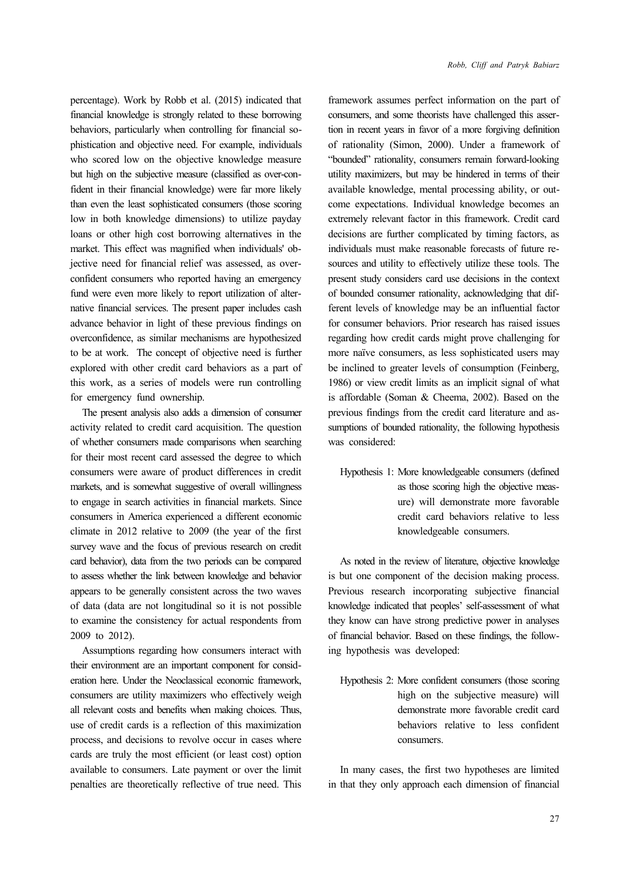percentage). Work by Robb et al. (2015) indicated that financial knowledge is strongly related to these borrowing behaviors, particularly when controlling for financial sophistication and objective need. For example, individuals who scored low on the objective knowledge measure but high on the subjective measure (classified as over-confident in their financial knowledge) were far more likely than even the least sophisticated consumers (those scoring low in both knowledge dimensions) to utilize payday loans or other high cost borrowing alternatives in the market. This effect was magnified when individuals' objective need for financial relief was assessed, as overconfident consumers who reported having an emergency fund were even more likely to report utilization of alternative financial services. The present paper includes cash advance behavior in light of these previous findings on overconfidence, as similar mechanisms are hypothesized to be at work. The concept of objective need is further explored with other credit card behaviors as a part of this work, as a series of models were run controlling for emergency fund ownership.

The present analysis also adds a dimension of consumer activity related to credit card acquisition. The question of whether consumers made comparisons when searching for their most recent card assessed the degree to which consumers were aware of product differences in credit markets, and is somewhat suggestive of overall willingness to engage in search activities in financial markets. Since consumers in America experienced a different economic climate in 2012 relative to 2009 (the year of the first survey wave and the focus of previous research on credit card behavior), data from the two periods can be compared to assess whether the link between knowledge and behavior appears to be generally consistent across the two waves of data (data are not longitudinal so it is not possible to examine the consistency for actual respondents from 2009 to 2012).

Assumptions regarding how consumers interact with their environment are an important component for consideration here. Under the Neoclassical economic framework, consumers are utility maximizers who effectively weigh all relevant costs and benefits when making choices. Thus, use of credit cards is a reflection of this maximization process, and decisions to revolve occur in cases where cards are truly the most efficient (or least cost) option available to consumers. Late payment or over the limit penalties are theoretically reflective of true need. This framework assumes perfect information on the part of consumers, and some theorists have challenged this assertion in recent years in favor of a more forgiving definition of rationality (Simon, 2000). Under a framework of "bounded" rationality, consumers remain forward-looking utility maximizers, but may be hindered in terms of their available knowledge, mental processing ability, or outcome expectations. Individual knowledge becomes an extremely relevant factor in this framework. Credit card decisions are further complicated by timing factors, as individuals must make reasonable forecasts of future resources and utility to effectively utilize these tools. The present study considers card use decisions in the context of bounded consumer rationality, acknowledging that different levels of knowledge may be an influential factor for consumer behaviors. Prior research has raised issues regarding how credit cards might prove challenging for more naïve consumers, as less sophisticated users may be inclined to greater levels of consumption (Feinberg, 1986) or view credit limits as an implicit signal of what is affordable (Soman & Cheema, 2002). Based on the previous findings from the credit card literature and assumptions of bounded rationality, the following hypothesis was considered:

Hypothesis 1: More knowledgeable consumers (defined as those scoring high the objective measure) will demonstrate more favorable credit card behaviors relative to less knowledgeable consumers.

As noted in the review of literature, objective knowledge is but one component of the decision making process. Previous research incorporating subjective financial knowledge indicated that peoples' self-assessment of what they know can have strong predictive power in analyses of financial behavior. Based on these findings, the following hypothesis was developed:

Hypothesis 2: More confident consumers (those scoring high on the subjective measure) will demonstrate more favorable credit card behaviors relative to less confident consumers.

In many cases, the first two hypotheses are limited in that they only approach each dimension of financial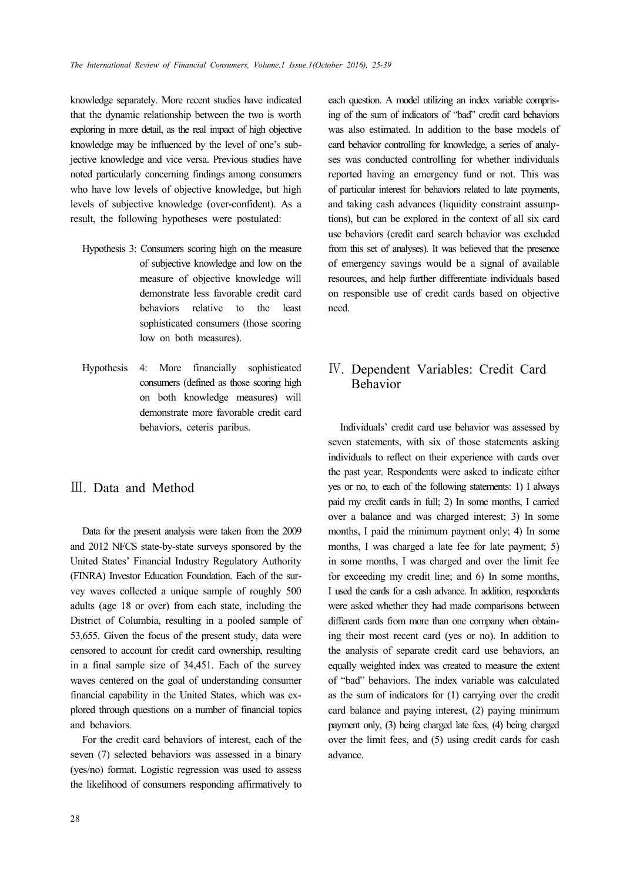knowledge separately. More recent studies have indicated that the dynamic relationship between the two is worth exploring in more detail, as the real impact of high objective knowledge may be influenced by the level of one's subjective knowledge and vice versa. Previous studies have noted particularly concerning findings among consumers who have low levels of objective knowledge, but high levels of subjective knowledge (over-confident). As a result, the following hypotheses were postulated:

- Hypothesis 3: Consumers scoring high on the measure of subjective knowledge and low on the measure of objective knowledge will demonstrate less favorable credit card behaviors relative to the least sophisticated consumers (those scoring low on both measures).
- Hypothesis 4: More financially sophisticated consumers (defined as those scoring high on both knowledge measures) will demonstrate more favorable credit card behaviors, ceteris paribus.

## Ⅲ. Data and Method

Data for the present analysis were taken from the 2009 and 2012 NFCS state-by-state surveys sponsored by the United States' Financial Industry Regulatory Authority (FINRA) Investor Education Foundation. Each of the survey waves collected a unique sample of roughly 500 adults (age 18 or over) from each state, including the District of Columbia, resulting in a pooled sample of 53,655. Given the focus of the present study, data were censored to account for credit card ownership, resulting in a final sample size of 34,451. Each of the survey waves centered on the goal of understanding consumer financial capability in the United States, which was explored through questions on a number of financial topics and behaviors.

For the credit card behaviors of interest, each of the seven (7) selected behaviors was assessed in a binary (yes/no) format. Logistic regression was used to assess the likelihood of consumers responding affirmatively to each question. A model utilizing an index variable comprising of the sum of indicators of "bad" credit card behaviors was also estimated. In addition to the base models of card behavior controlling for knowledge, a series of analyses was conducted controlling for whether individuals reported having an emergency fund or not. This was of particular interest for behaviors related to late payments, and taking cash advances (liquidity constraint assumptions), but can be explored in the context of all six card use behaviors (credit card search behavior was excluded from this set of analyses). It was believed that the presence of emergency savings would be a signal of available resources, and help further differentiate individuals based on responsible use of credit cards based on objective need.

## Ⅳ. Dependent Variables: Credit Card Behavior

Individuals' credit card use behavior was assessed by seven statements, with six of those statements asking individuals to reflect on their experience with cards over the past year. Respondents were asked to indicate either yes or no, to each of the following statements: 1) I always paid my credit cards in full; 2) In some months, I carried over a balance and was charged interest; 3) In some months, I paid the minimum payment only; 4) In some months, I was charged a late fee for late payment; 5) in some months, I was charged and over the limit fee for exceeding my credit line; and 6) In some months, I used the cards for a cash advance. In addition, respondents were asked whether they had made comparisons between different cards from more than one company when obtaining their most recent card (yes or no). In addition to the analysis of separate credit card use behaviors, an equally weighted index was created to measure the extent of "bad" behaviors. The index variable was calculated as the sum of indicators for (1) carrying over the credit card balance and paying interest, (2) paying minimum payment only, (3) being charged late fees, (4) being charged over the limit fees, and (5) using credit cards for cash advance.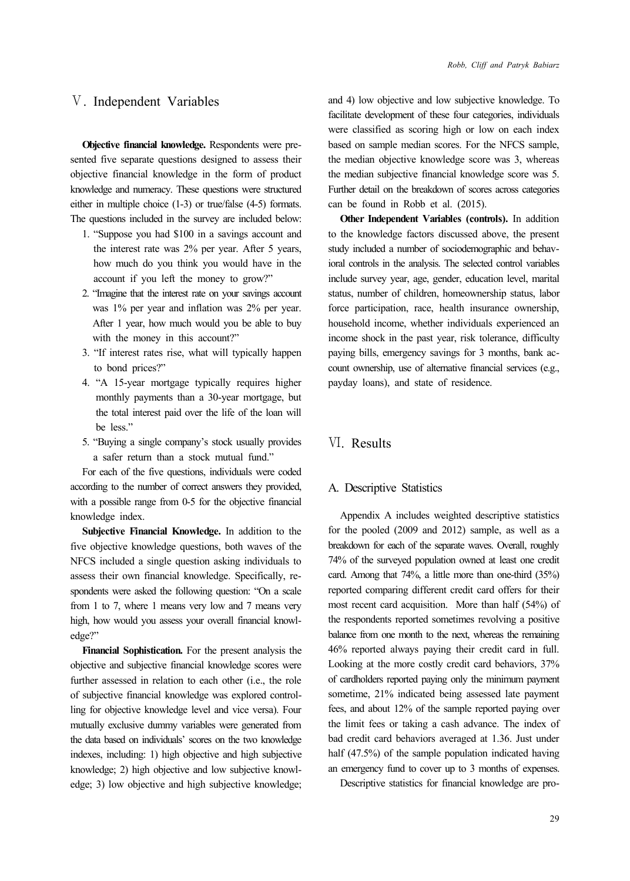## Ⅴ. Independent Variables

**Objective financial knowledge.** Respondents were presented five separate questions designed to assess their objective financial knowledge in the form of product knowledge and numeracy. These questions were structured either in multiple choice (1-3) or true/false (4-5) formats. The questions included in the survey are included below:

- 1. "Suppose you had \$100 in a savings account and the interest rate was 2% per year. After 5 years, how much do you think you would have in the account if you left the money to grow?"
- 2. "Imagine that the interest rate on your savings account was 1% per year and inflation was 2% per year. After 1 year, how much would you be able to buy with the money in this account?"
- 3. "If interest rates rise, what will typically happen to bond prices?"
- 4. "A 15-year mortgage typically requires higher monthly payments than a 30-year mortgage, but the total interest paid over the life of the loan will be less."
- 5. "Buying a single company's stock usually provides a safer return than a stock mutual fund."

For each of the five questions, individuals were coded according to the number of correct answers they provided, with a possible range from 0-5 for the objective financial knowledge index.

**Subjective Financial Knowledge.** In addition to the five objective knowledge questions, both waves of the NFCS included a single question asking individuals to assess their own financial knowledge. Specifically, respondents were asked the following question: "On a scale from 1 to 7, where 1 means very low and 7 means very high, how would you assess your overall financial knowledge?"

**Financial Sophistication.** For the present analysis the objective and subjective financial knowledge scores were further assessed in relation to each other (i.e., the role of subjective financial knowledge was explored controlling for objective knowledge level and vice versa). Four mutually exclusive dummy variables were generated from the data based on individuals' scores on the two knowledge indexes, including: 1) high objective and high subjective knowledge; 2) high objective and low subjective knowledge; 3) low objective and high subjective knowledge; and 4) low objective and low subjective knowledge. To facilitate development of these four categories, individuals were classified as scoring high or low on each index based on sample median scores. For the NFCS sample, the median objective knowledge score was 3, whereas the median subjective financial knowledge score was 5. Further detail on the breakdown of scores across categories can be found in Robb et al. (2015).

**Other Independent Variables (controls).** In addition to the knowledge factors discussed above, the present study included a number of sociodemographic and behavioral controls in the analysis. The selected control variables include survey year, age, gender, education level, marital status, number of children, homeownership status, labor force participation, race, health insurance ownership, household income, whether individuals experienced an income shock in the past year, risk tolerance, difficulty paying bills, emergency savings for 3 months, bank account ownership, use of alternative financial services (e.g., payday loans), and state of residence.

### Ⅵ. Results

#### A. Descriptive Statistics

Appendix A includes weighted descriptive statistics for the pooled (2009 and 2012) sample, as well as a breakdown for each of the separate waves. Overall, roughly 74% of the surveyed population owned at least one credit card. Among that 74%, a little more than one-third (35%) reported comparing different credit card offers for their most recent card acquisition. More than half (54%) of the respondents reported sometimes revolving a positive balance from one month to the next, whereas the remaining 46% reported always paying their credit card in full. Looking at the more costly credit card behaviors, 37% of cardholders reported paying only the minimum payment sometime, 21% indicated being assessed late payment fees, and about 12% of the sample reported paying over the limit fees or taking a cash advance. The index of bad credit card behaviors averaged at 1.36. Just under half (47.5%) of the sample population indicated having an emergency fund to cover up to 3 months of expenses.

Descriptive statistics for financial knowledge are pro-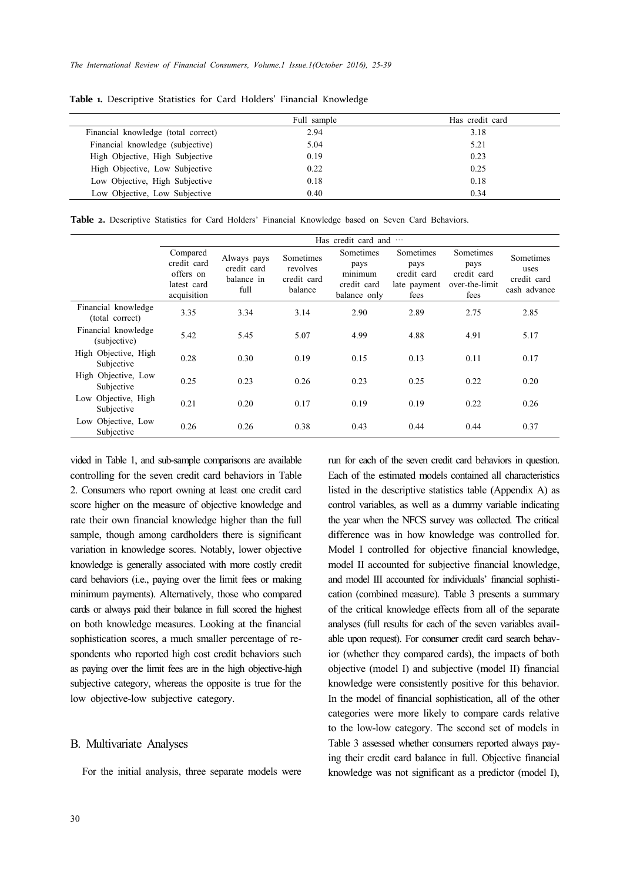|                                     | Full sample | Has credit card |  |
|-------------------------------------|-------------|-----------------|--|
| Financial knowledge (total correct) | 2.94        | 3.18            |  |
| Financial knowledge (subjective)    | 5.04        | 5.21            |  |
| High Objective, High Subjective     | 0.19        | 0.23            |  |
| High Objective, Low Subjective      | 0.22        | 0.25            |  |
| Low Objective, High Subjective      | 0.18        | 0.18            |  |
| Low Objective, Low Subjective       | 0.40        | 0.34            |  |
|                                     |             |                 |  |

**Table 1.** Descriptive Statistics for Card Holders' Financial Knowledge

**Table 2.** Descriptive Statistics for Card Holders' Financial Knowledge based on Seven Card Behaviors.

|                                        |                                                                    |                                                  |                                                        | Has credit card and                                         |                                                          |                                                            |                                                  |
|----------------------------------------|--------------------------------------------------------------------|--------------------------------------------------|--------------------------------------------------------|-------------------------------------------------------------|----------------------------------------------------------|------------------------------------------------------------|--------------------------------------------------|
|                                        | Compared<br>credit card<br>offers on<br>latest card<br>acquisition | Always pays<br>credit card<br>balance in<br>full | <b>Sometimes</b><br>revolves<br>credit card<br>balance | Sometimes<br>pays<br>minimum<br>credit card<br>balance only | Sometimes<br>pays<br>credit card<br>late payment<br>fees | Sometimes<br>pays<br>credit card<br>over-the-limit<br>fees | Sometimes<br>uses<br>credit card<br>cash advance |
| Financial knowledge<br>(total correct) | 3.35                                                               | 3.34                                             | 3.14                                                   | 2.90                                                        | 2.89                                                     | 2.75                                                       | 2.85                                             |
| Financial knowledge<br>(subjective)    | 5.42                                                               | 5.45                                             | 5.07                                                   | 4.99                                                        | 4.88                                                     | 4.91                                                       | 5.17                                             |
| High Objective, High<br>Subjective     | 0.28                                                               | 0.30                                             | 0.19                                                   | 0.15                                                        | 0.13                                                     | 0.11                                                       | 0.17                                             |
| High Objective, Low<br>Subjective      | 0.25                                                               | 0.23                                             | 0.26                                                   | 0.23                                                        | 0.25                                                     | 0.22                                                       | 0.20                                             |
| Low Objective, High<br>Subjective      | 0.21                                                               | 0.20                                             | 0.17                                                   | 0.19                                                        | 0.19                                                     | 0.22                                                       | 0.26                                             |
| Low Objective, Low<br>Subjective       | 0.26                                                               | 0.26                                             | 0.38                                                   | 0.43                                                        | 0.44                                                     | 0.44                                                       | 0.37                                             |

vided in Table 1, and sub-sample comparisons are available controlling for the seven credit card behaviors in Table 2. Consumers who report owning at least one credit card score higher on the measure of objective knowledge and rate their own financial knowledge higher than the full sample, though among cardholders there is significant variation in knowledge scores. Notably, lower objective knowledge is generally associated with more costly credit card behaviors (i.e., paying over the limit fees or making minimum payments). Alternatively, those who compared cards or always paid their balance in full scored the highest on both knowledge measures. Looking at the financial sophistication scores, a much smaller percentage of respondents who reported high cost credit behaviors such as paying over the limit fees are in the high objective-high subjective category, whereas the opposite is true for the low objective-low subjective category.

#### B. Multivariate Analyses

For the initial analysis, three separate models were

run for each of the seven credit card behaviors in question. Each of the estimated models contained all characteristics listed in the descriptive statistics table (Appendix A) as control variables, as well as a dummy variable indicating the year when the NFCS survey was collected. The critical difference was in how knowledge was controlled for. Model I controlled for objective financial knowledge, model II accounted for subjective financial knowledge, and model III accounted for individuals' financial sophistication (combined measure). Table 3 presents a summary of the critical knowledge effects from all of the separate analyses (full results for each of the seven variables available upon request). For consumer credit card search behavior (whether they compared cards), the impacts of both objective (model I) and subjective (model II) financial knowledge were consistently positive for this behavior. In the model of financial sophistication, all of the other categories were more likely to compare cards relative to the low-low category. The second set of models in Table 3 assessed whether consumers reported always paying their credit card balance in full. Objective financial knowledge was not significant as a predictor (model I),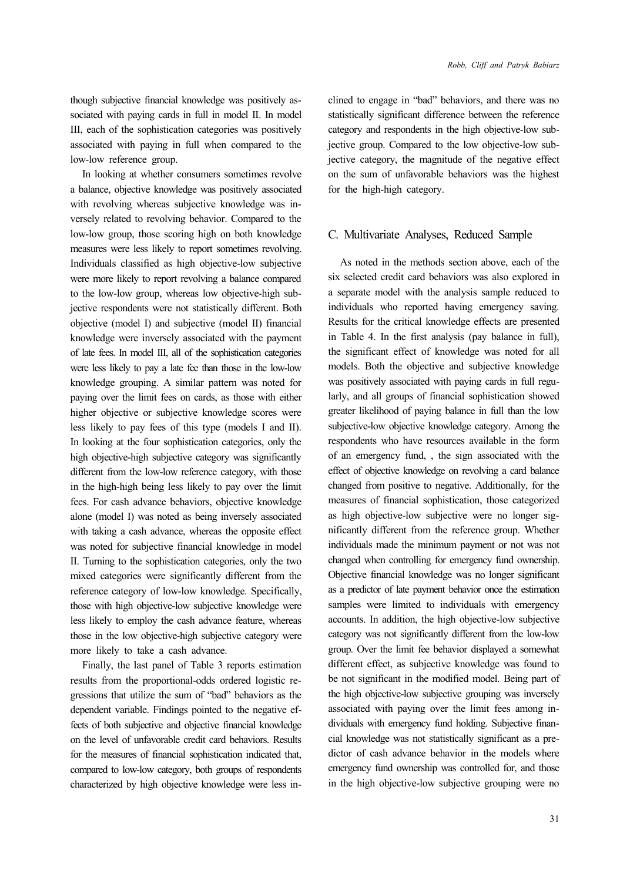though subjective financial knowledge was positively associated with paying cards in full in model II. In model III, each of the sophistication categories was positively associated with paying in full when compared to the low-low reference group.

In looking at whether consumers sometimes revolve a balance, objective knowledge was positively associated with revolving whereas subjective knowledge was inversely related to revolving behavior. Compared to the low-low group, those scoring high on both knowledge measures were less likely to report sometimes revolving. Individuals classified as high objective-low subjective were more likely to report revolving a balance compared to the low-low group, whereas low objective-high subjective respondents were not statistically different. Both objective (model I) and subjective (model II) financial knowledge were inversely associated with the payment of late fees. In model III, all of the sophistication categories were less likely to pay a late fee than those in the low-low knowledge grouping. A similar pattern was noted for paying over the limit fees on cards, as those with either higher objective or subjective knowledge scores were less likely to pay fees of this type (models I and II). In looking at the four sophistication categories, only the high objective-high subjective category was significantly different from the low-low reference category, with those in the high-high being less likely to pay over the limit fees. For cash advance behaviors, objective knowledge alone (model I) was noted as being inversely associated with taking a cash advance, whereas the opposite effect was noted for subjective financial knowledge in model II. Turning to the sophistication categories, only the two mixed categories were significantly different from the reference category of low-low knowledge. Specifically, those with high objective-low subjective knowledge were less likely to employ the cash advance feature, whereas those in the low objective-high subjective category were more likely to take a cash advance.

Finally, the last panel of Table 3 reports estimation results from the proportional-odds ordered logistic regressions that utilize the sum of "bad" behaviors as the dependent variable. Findings pointed to the negative effects of both subjective and objective financial knowledge on the level of unfavorable credit card behaviors. Results for the measures of financial sophistication indicated that, compared to low-low category, both groups of respondents characterized by high objective knowledge were less inclined to engage in "bad" behaviors, and there was no statistically significant difference between the reference category and respondents in the high objective-low subjective group. Compared to the low objective-low subjective category, the magnitude of the negative effect on the sum of unfavorable behaviors was the highest for the high-high category.

#### C. Multivariate Analyses, Reduced Sample

As noted in the methods section above, each of the six selected credit card behaviors was also explored in a separate model with the analysis sample reduced to individuals who reported having emergency saving. Results for the critical knowledge effects are presented in Table 4. In the first analysis (pay balance in full), the significant effect of knowledge was noted for all models. Both the objective and subjective knowledge was positively associated with paying cards in full regularly, and all groups of financial sophistication showed greater likelihood of paying balance in full than the low subjective-low objective knowledge category. Among the respondents who have resources available in the form of an emergency fund, , the sign associated with the effect of objective knowledge on revolving a card balance changed from positive to negative. Additionally, for the measures of financial sophistication, those categorized as high objective-low subjective were no longer significantly different from the reference group. Whether individuals made the minimum payment or not was not changed when controlling for emergency fund ownership. Objective financial knowledge was no longer significant as a predictor of late payment behavior once the estimation samples were limited to individuals with emergency accounts. In addition, the high objective-low subjective category was not significantly different from the low-low group. Over the limit fee behavior displayed a somewhat different effect, as subjective knowledge was found to be not significant in the modified model. Being part of the high objective-low subjective grouping was inversely associated with paying over the limit fees among individuals with emergency fund holding. Subjective financial knowledge was not statistically significant as a predictor of cash advance behavior in the models where emergency fund ownership was controlled for, and those in the high objective-low subjective grouping were no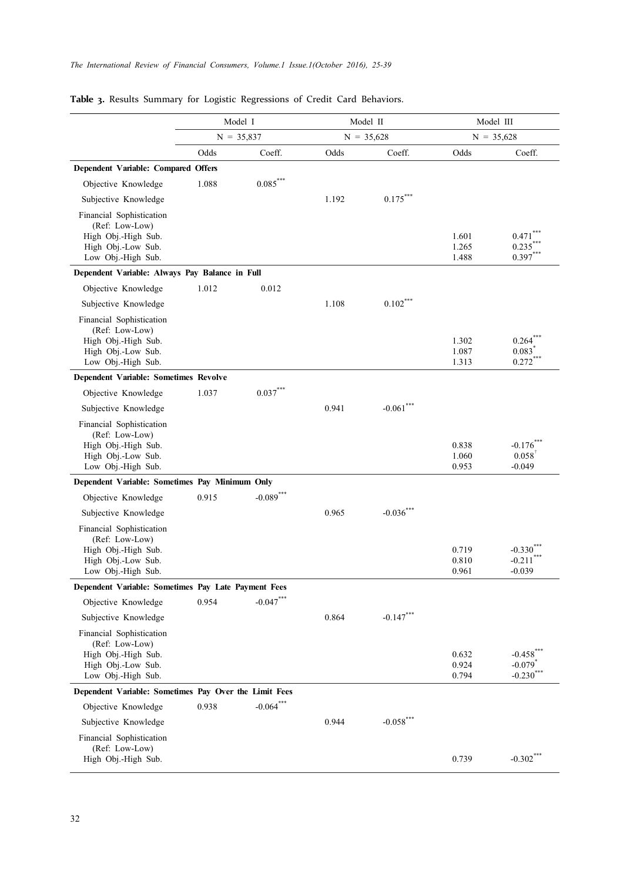|                                                                                                               | Model I |              |       | Model II     |                         | Model III                                                   |  |
|---------------------------------------------------------------------------------------------------------------|---------|--------------|-------|--------------|-------------------------|-------------------------------------------------------------|--|
|                                                                                                               |         | $N = 35,837$ |       | $N = 35,628$ |                         | $N = 35,628$                                                |  |
|                                                                                                               | Odds    | Coeff.       | Odds  | Coeff.       | Odds                    | Coeff.                                                      |  |
| Dependent Variable: Compared Offers                                                                           |         |              |       |              |                         |                                                             |  |
| Objective Knowledge                                                                                           | 1.088   | $0.085***$   |       |              |                         |                                                             |  |
| Subjective Knowledge                                                                                          |         |              | 1.192 | $0.175***$   |                         |                                                             |  |
| Financial Sophistication<br>(Ref: Low-Low)<br>High Obj.-High Sub.<br>High Obj.-Low Sub.<br>Low Obj.-High Sub. |         |              |       |              | 1.601<br>1.265<br>1.488 | 0.471<br>0.235<br>$0.397***$                                |  |
| Dependent Variable: Always Pay Balance in Full                                                                |         |              |       |              |                         |                                                             |  |
| Objective Knowledge                                                                                           | 1.012   | 0.012        |       |              |                         |                                                             |  |
| Subjective Knowledge                                                                                          |         |              | 1.108 | $0.102***$   |                         |                                                             |  |
| Financial Sophistication<br>(Ref: Low-Low)<br>High Obj.-High Sub.<br>High Obj.-Low Sub.<br>Low Obj.-High Sub. |         |              |       |              | 1.302<br>1.087<br>1.313 | 0.264<br>0.083<br>$0.272***$                                |  |
| <b>Dependent Variable: Sometimes Revolve</b>                                                                  |         |              |       |              |                         |                                                             |  |
| Objective Knowledge                                                                                           | 1.037   | $0.037***$   |       |              |                         |                                                             |  |
| Subjective Knowledge                                                                                          |         |              | 0.941 | $-0.061$ *** |                         |                                                             |  |
| Financial Sophistication<br>(Ref: Low-Low)<br>High Obj.-High Sub.<br>High Obj.-Low Sub.<br>Low Obj.-High Sub. |         |              |       |              | 0.838<br>1.060<br>0.953 | $-0.176$<br>0.058<br>$-0.049$                               |  |
| Dependent Variable: Sometimes Pay Minimum Only                                                                |         |              |       |              |                         |                                                             |  |
| Objective Knowledge                                                                                           | 0.915   | $-0.089$ *** |       |              |                         |                                                             |  |
| Subjective Knowledge                                                                                          |         |              | 0.965 | $-0.036$ *** |                         |                                                             |  |
| Financial Sophistication<br>(Ref: Low-Low)<br>High Obj.-High Sub.<br>High Obj.-Low Sub.<br>Low Obj.-High Sub. |         |              |       |              | 0.719<br>0.810<br>0.961 | $-0.330$ <sup>*</sup><br>$-0.211$ <sup>**</sup><br>$-0.039$ |  |
| Dependent Variable: Sometimes Pay Late Payment Fees                                                           |         |              |       |              |                         |                                                             |  |
| Objective Knowledge                                                                                           | 0.954   | $-0.047***$  |       |              |                         |                                                             |  |
| Subjective Knowledge                                                                                          |         |              | 0.864 | $-0.147***$  |                         |                                                             |  |
| Financial Sophistication<br>(Ref: Low-Low)<br>High Obj.-High Sub.<br>High Obj.-Low Sub.<br>Low Obj.-High Sub. |         |              |       |              | 0.632<br>0.924<br>0.794 | $-0.458$ ***<br>$-0.079$ <sup>*</sup><br>$-0.230$ ***       |  |
| Dependent Variable: Sometimes Pay Over the Limit Fees                                                         |         |              |       |              |                         |                                                             |  |
| Objective Knowledge                                                                                           | 0.938   | $-0.064$ *** |       |              |                         |                                                             |  |
| Subjective Knowledge                                                                                          |         |              | 0.944 | $-0.058$ *** |                         |                                                             |  |
| Financial Sophistication<br>(Ref: Low-Low)<br>High Obj.-High Sub.                                             |         |              |       |              | 0.739                   | $-0.302$ ***                                                |  |

## **Table 3.** Results Summary for Logistic Regressions of Credit Card Behaviors.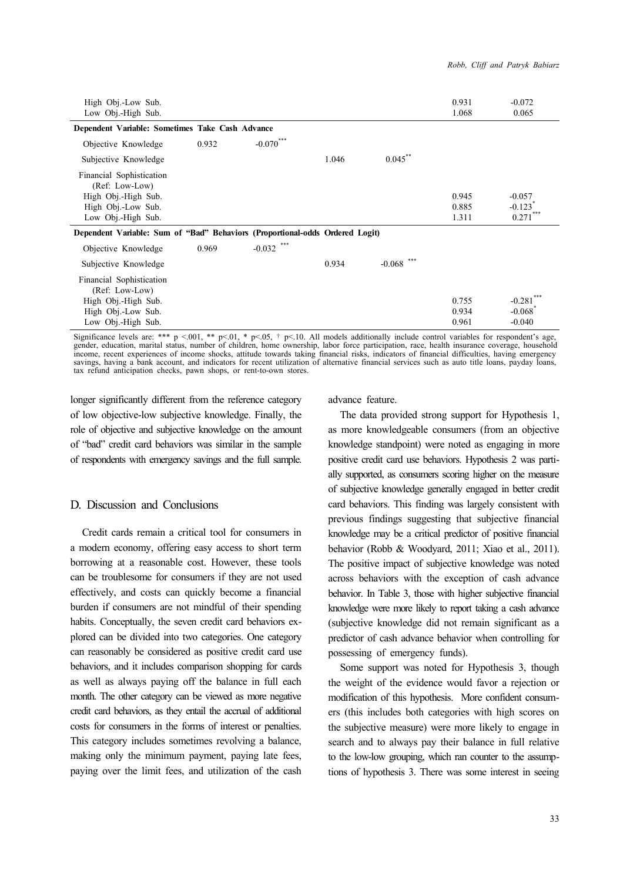| High Obj.-Low Sub.<br>Low Obj.-High Sub.                                                                      |       |                 |       |                 | 0.931<br>1.068          | $-0.072$<br>0.065                             |
|---------------------------------------------------------------------------------------------------------------|-------|-----------------|-------|-----------------|-------------------------|-----------------------------------------------|
| Dependent Variable: Sometimes Take Cash Advance                                                               |       |                 |       |                 |                         |                                               |
| Objective Knowledge                                                                                           | 0.932 | $-0.070***$     |       |                 |                         |                                               |
| Subjective Knowledge                                                                                          |       |                 | 1.046 | $0.045$ **      |                         |                                               |
| Financial Sophistication<br>(Ref: Low-Low)<br>High Obj.-High Sub.<br>High Obj.-Low Sub.<br>Low Obj.-High Sub. |       |                 |       |                 | 0.945<br>0.885<br>1.311 | $-0.057$<br>$-0.123$ <sup>*</sup><br>0.271    |
| Dependent Variable: Sum of "Bad" Behaviors (Proportional-odds Ordered Logit)                                  |       |                 |       |                 |                         |                                               |
| Objective Knowledge                                                                                           | 0.969 | ***<br>$-0.032$ |       |                 |                         |                                               |
| Subjective Knowledge                                                                                          |       |                 | 0.934 | ***<br>$-0.068$ |                         |                                               |
| Financial Sophistication<br>(Ref: Low-Low)<br>High Obj.-High Sub.<br>High Obj.-Low Sub.<br>Low Obj.-High Sub. |       |                 |       |                 | 0.755<br>0.934<br>0.961 | $-0.281$<br>$-0.068$ <sup>*</sup><br>$-0.040$ |

Significance levels are: \*\*\*  $p \le 001$ , \*\*  $p \le 01$ , \*  $p \le 05$ , †  $p \le 10$ . All models additionally include control variables for respondent's age, gender, education, marital status, number of children, home ownership, l income, recent experiences of income shocks, attitude towards taking financial risks, indicators of financial difficulties, having emergency savings, having a bank account, and indicators for recent utilization of alternative financial services such as auto title loans, payday loans, tax refund anticipation checks, pawn shops, or rent-to-own stores.

longer significantly different from the reference category of low objective-low subjective knowledge. Finally, the role of objective and subjective knowledge on the amount of "bad" credit card behaviors was similar in the sample of respondents with emergency savings and the full sample.

### D. Discussion and Conclusions

Credit cards remain a critical tool for consumers in a modern economy, offering easy access to short term borrowing at a reasonable cost. However, these tools can be troublesome for consumers if they are not used effectively, and costs can quickly become a financial burden if consumers are not mindful of their spending habits. Conceptually, the seven credit card behaviors explored can be divided into two categories. One category can reasonably be considered as positive credit card use behaviors, and it includes comparison shopping for cards as well as always paying off the balance in full each month. The other category can be viewed as more negative credit card behaviors, as they entail the accrual of additional costs for consumers in the forms of interest or penalties. This category includes sometimes revolving a balance, making only the minimum payment, paying late fees, paying over the limit fees, and utilization of the cash advance feature.

The data provided strong support for Hypothesis 1, as more knowledgeable consumers (from an objective knowledge standpoint) were noted as engaging in more positive credit card use behaviors. Hypothesis 2 was partially supported, as consumers scoring higher on the measure of subjective knowledge generally engaged in better credit card behaviors. This finding was largely consistent with previous findings suggesting that subjective financial knowledge may be a critical predictor of positive financial behavior (Robb & Woodyard, 2011; Xiao et al., 2011). The positive impact of subjective knowledge was noted across behaviors with the exception of cash advance behavior. In Table 3, those with higher subjective financial knowledge were more likely to report taking a cash advance (subjective knowledge did not remain significant as a predictor of cash advance behavior when controlling for possessing of emergency funds).

Some support was noted for Hypothesis 3, though the weight of the evidence would favor a rejection or modification of this hypothesis. More confident consumers (this includes both categories with high scores on the subjective measure) were more likely to engage in search and to always pay their balance in full relative to the low-low grouping, which ran counter to the assumptions of hypothesis 3. There was some interest in seeing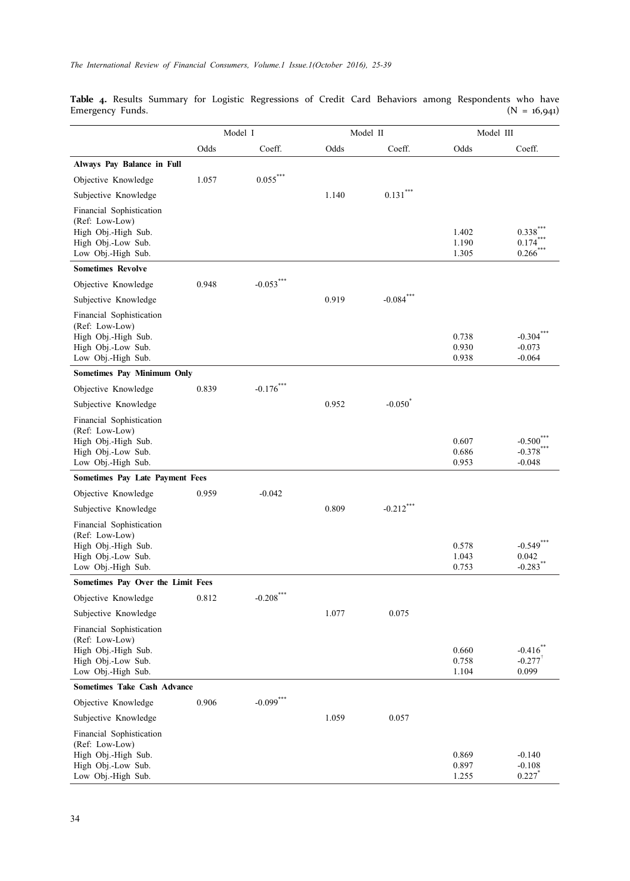**Table 4.** Results Summary for Logistic Regressions of Credit Card Behaviors among Respondents who have Emergency Funds. (N = 16,941)

|                                                                                                               |       | Model I      |       | Model II<br>Model III |                         |                                                |  |
|---------------------------------------------------------------------------------------------------------------|-------|--------------|-------|-----------------------|-------------------------|------------------------------------------------|--|
|                                                                                                               | Odds  | Coeff.       | Odds  | Coeff.                | Odds                    | Coeff.                                         |  |
| Always Pay Balance in Full                                                                                    |       |              |       |                       |                         |                                                |  |
| Objective Knowledge                                                                                           | 1.057 | $0.055***$   |       |                       |                         |                                                |  |
| Subjective Knowledge                                                                                          |       |              | 1.140 | $0.131***$            |                         |                                                |  |
| Financial Sophistication<br>(Ref: Low-Low)<br>High Obj.-High Sub.<br>High Obj.-Low Sub.<br>Low Obj.-High Sub. |       |              |       |                       | 1.402<br>1.190<br>1.305 | 0.338<br>0.174<br>0.266                        |  |
| <b>Sometimes Revolve</b>                                                                                      |       |              |       |                       |                         |                                                |  |
| Objective Knowledge                                                                                           | 0.948 | $-0.053***$  |       |                       |                         |                                                |  |
| Subjective Knowledge                                                                                          |       |              | 0.919 | $-0.084$ ***          |                         |                                                |  |
| Financial Sophistication<br>(Ref: Low-Low)<br>High Obj.-High Sub.<br>High Obj.-Low Sub.<br>Low Obj.-High Sub. |       |              |       |                       | 0.738<br>0.930<br>0.938 | $-0.304$ <sup>**</sup><br>$-0.073$<br>$-0.064$ |  |
| <b>Sometimes Pay Minimum Only</b>                                                                             |       |              |       |                       |                         |                                                |  |
| Objective Knowledge                                                                                           | 0.839 | $-0.176$ *** |       |                       |                         |                                                |  |
| Subjective Knowledge                                                                                          |       |              | 0.952 | $-0.050^{\degree}$    |                         |                                                |  |
| Financial Sophistication<br>(Ref: Low-Low)<br>High Obj.-High Sub.<br>High Obj.-Low Sub.<br>Low Obj.-High Sub. |       |              |       |                       | 0.607<br>0.686<br>0.953 | $-0.500$<br>$-0.378$<br>$-0.048$               |  |
| <b>Sometimes Pay Late Payment Fees</b>                                                                        |       |              |       |                       |                         |                                                |  |
| Objective Knowledge                                                                                           | 0.959 | $-0.042$     |       |                       |                         |                                                |  |
| Subjective Knowledge                                                                                          |       |              | 0.809 | $-0.212$ ***          |                         |                                                |  |
| Financial Sophistication<br>(Ref: Low-Low)<br>High Obj.-High Sub.<br>High Obj.-Low Sub.<br>Low Obj.-High Sub. |       |              |       |                       | 0.578<br>1.043<br>0.753 | $-0.549$<br>0.042<br>$-0.283$                  |  |
| Sometimes Pay Over the Limit Fees                                                                             |       |              |       |                       |                         |                                                |  |
| Objective Knowledge                                                                                           | 0.812 | $-0.208$ *** |       |                       |                         |                                                |  |
| Subjective Knowledge                                                                                          |       |              | 1.077 | 0.075                 |                         |                                                |  |
| Financial Sophistication<br>(Ref: Low-Low)<br>High Obj.-High Sub.<br>High Obj.-Low Sub.<br>Low Obj.-High Sub. |       |              |       |                       | 0.660<br>0.758<br>1.104 | $-0.416$<br>$-0.277$ <sup>†</sup><br>0.099     |  |
| <b>Sometimes Take Cash Advance</b>                                                                            |       |              |       |                       |                         |                                                |  |
| Objective Knowledge                                                                                           | 0.906 | $-0.099$ *** |       |                       |                         |                                                |  |
| Subjective Knowledge                                                                                          |       |              | 1.059 | 0.057                 |                         |                                                |  |
| Financial Sophistication<br>(Ref: Low-Low)<br>High Obj.-High Sub.<br>High Obj.-Low Sub.<br>Low Obj.-High Sub. |       |              |       |                       | 0.869<br>0.897<br>1.255 | $-0.140$<br>$-0.108$<br>0.227                  |  |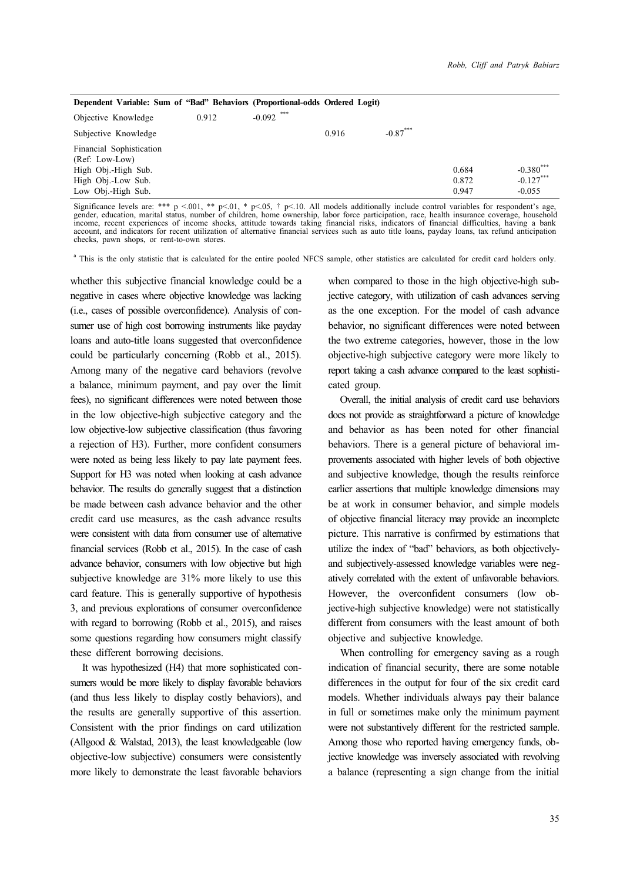| Dependent Variable: Sum of "Bad" Behaviors (Proportional-odds Ordered Logit) |       |              |       |            |       |              |
|------------------------------------------------------------------------------|-------|--------------|-------|------------|-------|--------------|
| Objective Knowledge                                                          | 0.912 | $-0.092$ *** |       |            |       |              |
| Subjective Knowledge                                                         |       |              | 0.916 | $-0.87***$ |       |              |
| Financial Sophistication<br>(Ref: Low-Low)                                   |       |              |       |            |       |              |
| High Obj.-High Sub.                                                          |       |              |       |            | 0.684 | $-0.380$ *** |
| High Obj.-Low Sub.                                                           |       |              |       |            | 0.872 | $-0.127***$  |
| Low Obj.-High Sub.                                                           |       |              |       |            | 0.947 | $-0.055$     |

Significance levels are: \*\*\* p <.001, \*\* p<.01, \* p<.05, † p<.10. All models additionally include control variables for respondent's age, gender, education, marital status, number of children, home ownership, labor force participation, race, health insurance coverage, household<br>income, recent experiences of income shocks, attitude towards taking financial ri checks, pawn shops, or rent-to-own stores.

<sup>a</sup> This is the only statistic that is calculated for the entire pooled NFCS sample, other statistics are calculated for credit card holders only.

whether this subjective financial knowledge could be a negative in cases where objective knowledge was lacking (i.e., cases of possible overconfidence). Analysis of consumer use of high cost borrowing instruments like payday loans and auto-title loans suggested that overconfidence could be particularly concerning (Robb et al., 2015). Among many of the negative card behaviors (revolve a balance, minimum payment, and pay over the limit fees), no significant differences were noted between those in the low objective-high subjective category and the low objective-low subjective classification (thus favoring a rejection of H3). Further, more confident consumers were noted as being less likely to pay late payment fees. Support for H3 was noted when looking at cash advance behavior. The results do generally suggest that a distinction be made between cash advance behavior and the other credit card use measures, as the cash advance results were consistent with data from consumer use of alternative financial services (Robb et al., 2015). In the case of cash advance behavior, consumers with low objective but high subjective knowledge are 31% more likely to use this card feature. This is generally supportive of hypothesis 3, and previous explorations of consumer overconfidence with regard to borrowing (Robb et al., 2015), and raises some questions regarding how consumers might classify these different borrowing decisions.

It was hypothesized (H4) that more sophisticated consumers would be more likely to display favorable behaviors (and thus less likely to display costly behaviors), and the results are generally supportive of this assertion. Consistent with the prior findings on card utilization (Allgood & Walstad, 2013), the least knowledgeable (low objective-low subjective) consumers were consistently more likely to demonstrate the least favorable behaviors when compared to those in the high objective-high subjective category, with utilization of cash advances serving as the one exception. For the model of cash advance behavior, no significant differences were noted between the two extreme categories, however, those in the low objective-high subjective category were more likely to report taking a cash advance compared to the least sophisticated group.

Overall, the initial analysis of credit card use behaviors does not provide as straightforward a picture of knowledge and behavior as has been noted for other financial behaviors. There is a general picture of behavioral improvements associated with higher levels of both objective and subjective knowledge, though the results reinforce earlier assertions that multiple knowledge dimensions may be at work in consumer behavior, and simple models of objective financial literacy may provide an incomplete picture. This narrative is confirmed by estimations that utilize the index of "bad" behaviors, as both objectivelyand subjectively-assessed knowledge variables were negatively correlated with the extent of unfavorable behaviors. However, the overconfident consumers (low objective-high subjective knowledge) were not statistically different from consumers with the least amount of both objective and subjective knowledge.

When controlling for emergency saving as a rough indication of financial security, there are some notable differences in the output for four of the six credit card models. Whether individuals always pay their balance in full or sometimes make only the minimum payment were not substantively different for the restricted sample. Among those who reported having emergency funds, objective knowledge was inversely associated with revolving a balance (representing a sign change from the initial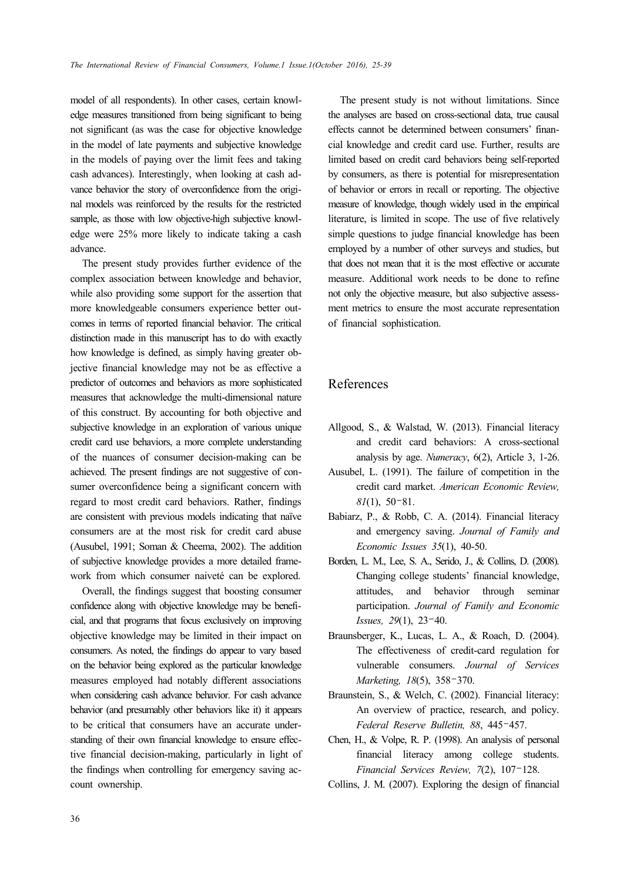model of all respondents). In other cases, certain knowledge measures transitioned from being significant to being not significant (as was the case for objective knowledge in the model of late payments and subjective knowledge in the models of paying over the limit fees and taking cash advances). Interestingly, when looking at cash advance behavior the story of overconfidence from the original models was reinforced by the results for the restricted sample, as those with low objective-high subjective knowledge were 25% more likely to indicate taking a cash advance.

The present study provides further evidence of the complex association between knowledge and behavior, while also providing some support for the assertion that more knowledgeable consumers experience better outcomes in terms of reported financial behavior. The critical distinction made in this manuscript has to do with exactly how knowledge is defined, as simply having greater objective financial knowledge may not be as effective a predictor of outcomes and behaviors as more sophisticated measures that acknowledge the multi-dimensional nature of this construct. By accounting for both objective and subjective knowledge in an exploration of various unique credit card use behaviors, a more complete understanding of the nuances of consumer decision-making can be achieved. The present findings are not suggestive of consumer overconfidence being a significant concern with regard to most credit card behaviors. Rather, findings are consistent with previous models indicating that naïve consumers are at the most risk for credit card abuse (Ausubel, 1991; Soman & Cheema, 2002). The addition of subjective knowledge provides a more detailed framework from which consumer naiveté can be explored.

Overall, the findings suggest that boosting consumer confidence along with objective knowledge may be beneficial, and that programs that focus exclusively on improving objective knowledge may be limited in their impact on consumers. As noted, the findings do appear to vary based on the behavior being explored as the particular knowledge measures employed had notably different associations when considering cash advance behavior. For cash advance behavior (and presumably other behaviors like it) it appears to be critical that consumers have an accurate understanding of their own financial knowledge to ensure effective financial decision-making, particularly in light of the findings when controlling for emergency saving account ownership.

The present study is not without limitations. Since the analyses are based on cross-sectional data, true causal effects cannot be determined between consumers' financial knowledge and credit card use. Further, results are limited based on credit card behaviors being self-reported by consumers, as there is potential for misrepresentation of behavior or errors in recall or reporting. The objective measure of knowledge, though widely used in the empirical literature, is limited in scope. The use of five relatively simple questions to judge financial knowledge has been employed by a number of other surveys and studies, but that does not mean that it is the most effective or accurate measure. Additional work needs to be done to refine not only the objective measure, but also subjective assessment metrics to ensure the most accurate representation of financial sophistication.

## References

- Allgood, S., & Walstad, W. (2013). Financial literacy and credit card behaviors: A cross-sectional analysis by age. *Numeracy*, 6(2), Article 3, 1-26.
- Ausubel, L. (1991). The failure of competition in the credit card market. *American Economic Review, 81*(1), 50–81.
- Babiarz, P., & Robb, C. A. (2014). Financial literacy and emergency saving. *Journal of Family and Economic Issues 35*(1), 40-50.
- Borden, L. M., Lee, S. A., Serido, J., & Collins, D. (2008). Changing college students' financial knowledge, attitudes, and behavior through seminar participation. *Journal of Family and Economic Issues, 29*(1), 23–40.
- Braunsberger, K., Lucas, L. A., & Roach, D. (2004). The effectiveness of credit-card regulation for vulnerable consumers. *Journal of Services Marketing, 18*(5), 358–370.
- Braunstein, S., & Welch, C. (2002). Financial literacy: An overview of practice, research, and policy. *Federal Reserve Bulletin, 88*, 445–457.
- Chen, H., & Volpe, R. P. (1998). An analysis of personal financial literacy among college students. *Financial Services Review, 7*(2), 107–128.
- Collins, J. M. (2007). Exploring the design of financial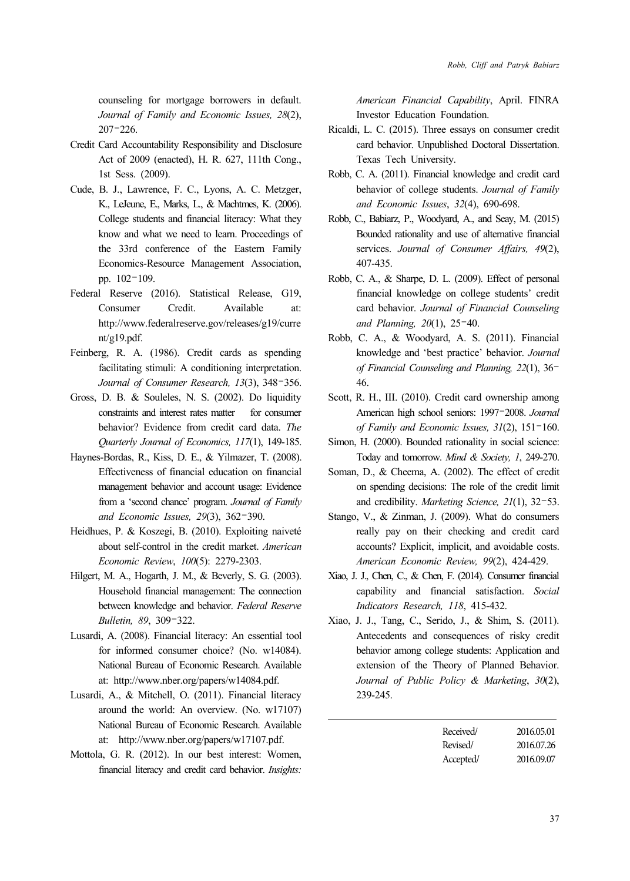counseling for mortgage borrowers in default. *Journal of Family and Economic Issues, 28*(2), 207–226.

- Credit Card Accountability Responsibility and Disclosure Act of 2009 (enacted), H. R. 627, 111th Cong., 1st Sess. (2009).
- Cude, B. J., Lawrence, F. C., Lyons, A. C. Metzger, K., LeJeune, E., Marks, L., & Machtmes, K. (2006). College students and financial literacy: What they know and what we need to learn. Proceedings of the 33rd conference of the Eastern Family Economics-Resource Management Association, pp. 102–109.
- Federal Reserve (2016). Statistical Release, G19, Consumer Credit. Available at: http://www.federalreserve.gov/releases/g19/curre nt/g19.pdf.
- Feinberg, R. A. (1986). Credit cards as spending facilitating stimuli: A conditioning interpretation. *Journal of Consumer Research, 13*(3), 348–356.
- Gross, D. B. & Souleles, N. S. (2002). Do liquidity constraints and interest rates matter for consumer behavior? Evidence from credit card data. *The Quarterly Journal of Economics, 117*(1), 149-185.
- Haynes-Bordas, R., Kiss, D. E., & Yilmazer, T. (2008). Effectiveness of financial education on financial management behavior and account usage: Evidence from a 'second chance' program. *Journal of Family and Economic Issues, 29*(3), 362–390.
- Heidhues, P. & Koszegi, B. (2010). Exploiting naiveté about self-control in the credit market. *American Economic Review*, *100*(5): 2279-2303.
- Hilgert, M. A., Hogarth, J. M., & Beverly, S. G. (2003). Household financial management: The connection between knowledge and behavior. *Federal Reserve Bulletin, 89*, 309–322.
- Lusardi, A. (2008). Financial literacy: An essential tool for informed consumer choice? (No. w14084). National Bureau of Economic Research. Available at: http://www.nber.org/papers/w14084.pdf.
- Lusardi, A., & Mitchell, O. (2011). Financial literacy around the world: An overview. (No. w17107) National Bureau of Economic Research. Available at: http://www.nber.org/papers/w17107.pdf.
- Mottola, G. R. (2012). In our best interest: Women, financial literacy and credit card behavior. *Insights:*

*American Financial Capability*, April. FINRA Investor Education Foundation.

- Ricaldi, L. C. (2015). Three essays on consumer credit card behavior. Unpublished Doctoral Dissertation. Texas Tech University.
- Robb, C. A. (2011). Financial knowledge and credit card behavior of college students. *Journal of Family and Economic Issues*, *32*(4), 690-698.
- Robb, C., Babiarz, P., Woodyard, A., and Seay, M. (2015) Bounded rationality and use of alternative financial services. *Journal of Consumer Affairs, 49*(2), 407-435.
- Robb, C. A., & Sharpe, D. L. (2009). Effect of personal financial knowledge on college students' credit card behavior. *Journal of Financial Counseling and Planning, 20*(1), 25–40.
- Robb, C. A., & Woodyard, A. S. (2011). Financial knowledge and 'best practice' behavior. *Journal of Financial Counseling and Planning, 22*(1), 36– 46.
- Scott, R. H., III. (2010). Credit card ownership among American high school seniors: 1997–2008. *Journal of Family and Economic Issues, 31*(2), 151–160.
- Simon, H. (2000). Bounded rationality in social science: Today and tomorrow. *Mind & Society, 1*, 249-270.
- Soman, D., & Cheema, A. (2002). The effect of credit on spending decisions: The role of the credit limit and credibility. *Marketing Science, 21*(1), 32–53.
- Stango, V., & Zinman, J. (2009). What do consumers really pay on their checking and credit card accounts? Explicit, implicit, and avoidable costs. *American Economic Review, 99*(2), 424-429.
- Xiao, J. J., Chen, C., & Chen, F. (2014). Consumer financial capability and financial satisfaction. *Social Indicators Research, 118*, 415-432.
- Xiao, J. J., Tang, C., Serido, J., & Shim, S. (2011). Antecedents and consequences of risky credit behavior among college students: Application and extension of the Theory of Planned Behavior. *Journal of Public Policy & Marketing*, *30*(2), 239-245.

| Received/ | 2016.05.01 |
|-----------|------------|
| Revised/  | 2016.07.26 |
| Accepted/ | 2016.09.07 |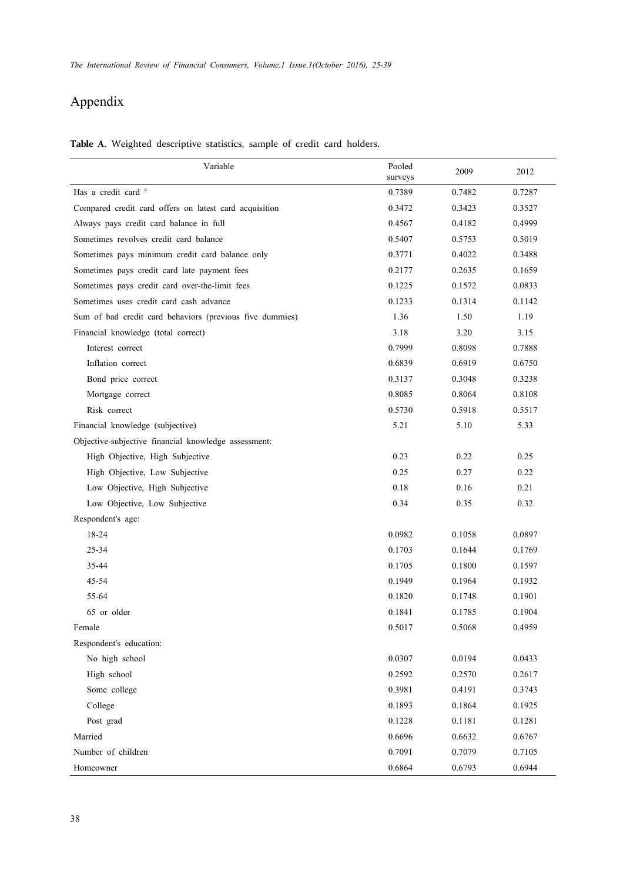# Appendix

**Table A**. Weighted descriptive statistics, sample of credit card holders.

| Variable                                                 | Pooled<br>surveys | 2009   | 2012   |
|----------------------------------------------------------|-------------------|--------|--------|
| Has a credit card <sup>a</sup>                           | 0.7389            | 0.7482 | 0.7287 |
| Compared credit card offers on latest card acquisition   | 0.3472            | 0.3423 | 0.3527 |
| Always pays credit card balance in full                  | 0.4567            | 0.4182 | 0.4999 |
| Sometimes revolves credit card balance                   | 0.5407            | 0.5753 | 0.5019 |
| Sometimes pays minimum credit card balance only          | 0.3771            | 0.4022 | 0.3488 |
| Sometimes pays credit card late payment fees             | 0.2177            | 0.2635 | 0.1659 |
| Sometimes pays credit card over-the-limit fees           | 0.1225            | 0.1572 | 0.0833 |
| Sometimes uses credit card cash advance                  | 0.1233            | 0.1314 | 0.1142 |
| Sum of bad credit card behaviors (previous five dummies) | 1.36              | 1.50   | 1.19   |
| Financial knowledge (total correct)                      | 3.18              | 3.20   | 3.15   |
| Interest correct                                         | 0.7999            | 0.8098 | 0.7888 |
| Inflation correct                                        | 0.6839            | 0.6919 | 0.6750 |
| Bond price correct                                       | 0.3137            | 0.3048 | 0.3238 |
| Mortgage correct                                         | 0.8085            | 0.8064 | 0.8108 |
| Risk correct                                             | 0.5730            | 0.5918 | 0.5517 |
| Financial knowledge (subjective)                         | 5.21              | 5.10   | 5.33   |
| Objective-subjective financial knowledge assessment:     |                   |        |        |
| High Objective, High Subjective                          | 0.23              | 0.22   | 0.25   |
| High Objective, Low Subjective                           | 0.25              | 0.27   | 0.22   |
| Low Objective, High Subjective                           | 0.18              | 0.16   | 0.21   |
| Low Objective, Low Subjective                            | 0.34              | 0.35   | 0.32   |
| Respondent's age:                                        |                   |        |        |
| 18-24                                                    | 0.0982            | 0.1058 | 0.0897 |
| 25-34                                                    | 0.1703            | 0.1644 | 0.1769 |
| 35-44                                                    | 0.1705            | 0.1800 | 0.1597 |
| 45-54                                                    | 0.1949            | 0.1964 | 0.1932 |
| 55-64                                                    | 0.1820            | 0.1748 | 0.1901 |
| 65 or older                                              | 0.1841            | 0.1785 | 0.1904 |
| Female                                                   | 0.5017            | 0.5068 | 0.4959 |
| Respondent's education:                                  |                   |        |        |
| No high school                                           | 0.0307            | 0.0194 | 0.0433 |
| High school                                              | 0.2592            | 0.2570 | 0.2617 |
| Some college                                             | 0.3981            | 0.4191 | 0.3743 |
| College                                                  | 0.1893            | 0.1864 | 0.1925 |
| Post grad                                                | 0.1228            | 0.1181 | 0.1281 |
| Married                                                  | 0.6696            | 0.6632 | 0.6767 |
| Number of children                                       | 0.7091            | 0.7079 | 0.7105 |
| Homeowner                                                | 0.6864            | 0.6793 | 0.6944 |